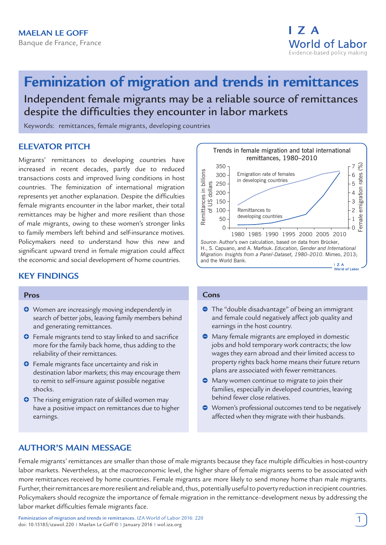# **Feminization of migration and trends in remittances** Independent female migrants may be a reliable source of remittances despite the difficulties they encounter in labor markets

Keywords: remittances, female migrants, developing countries

# **ELEVATOR PITCH**

Migrants' remittances to developing countries have increased in recent decades, partly due to reduced transactions costs and improved living conditions in host countries. The feminization of international migration represents yet another explanation. Despite the difficulties female migrants encounter in the labor market, their total remittances may be higher and more resilient than those of male migrants, owing to these women's stronger links to family members left behind and self-insurance motives. Policymakers need to understand how this new and significant upward trend in female migration could affect the economic and social development of home countries.

# **KEY FINDINGS**

#### **Pros**

- $\bullet$  Women are increasingly moving independently in search of better jobs, leaving family members behind and generating remittances.
- **O** Female migrants tend to stay linked to and sacrifice more for the family back home, thus adding to the reliability of their remittances.
- **O** Female migrants face uncertainty and risk in destination labor markets; this may encourage them to remit to self-insure against possible negative shocks.
- **O** The rising emigration rate of skilled women may have a positive impact on remittances due to higher earnings.



#### **Cons**

- The "double disadvantage" of being an immigrant and female could negatively affect job quality and earnings in the host country.
- Many female migrants are employed in domestic jobs and hold temporary work contracts; the low wages they earn abroad and their limited access to property rights back home means their future return plans are associated with fewer remittances.
- **•** Many women continue to migrate to join their families, especially in developed countries, leaving behind fewer close relatives.
- Women's professional outcomes tend to be negatively affected when they migrate with their husbands.

# **AUTHOR'S MAIN MESSAGE**

Female migrants' remittances are smaller than those of male migrants because they face multiple difficulties in host-country labor markets. Nevertheless, at the macroeconomic level, the higher share of female migrants seems to be associated with more remittances received by home countries. Female migrants are more likely to send money home than male migrants. Further, their remittances are more resilient and reliable and, thus, potentially useful to poverty reduction in recipient countries. Policymakers should recognize the importance of female migration in the remittance–development nexus by addressing the labor market difficulties female migrants face.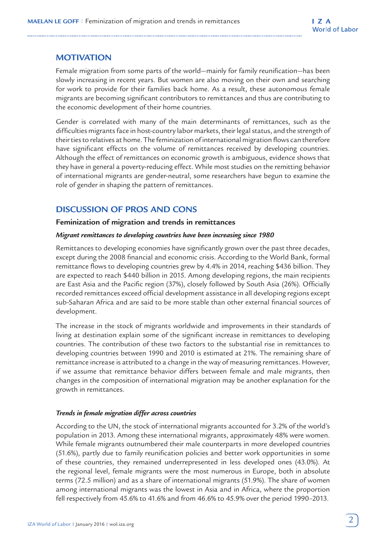## **MOTIVATION**

Female migration from some parts of the world—mainly for family reunification—has been slowly increasing in recent years. But women are also moving on their own and searching for work to provide for their families back home. As a result, these autonomous female migrants are becoming significant contributors to remittances and thus are contributing to the economic development of their home countries.

Gender is correlated with many of the main determinants of remittances, such as the difficulties migrants face in host-country labor markets, their legal status, and the strength of their ties to relatives at home. The feminization of international migration flows can therefore have significant effects on the volume of remittances received by developing countries. Although the effect of remittances on economic growth is ambiguous, evidence shows that they have in general a poverty-reducing effect. While most studies on the remitting behavior of international migrants are gender-neutral, some researchers have begun to examine the role of gender in shaping the pattern of remittances.

## **DISCUSSION OF PROS AND CONS**

#### **Feminization of migration and trends in remittances**

#### *Migrant remittances to developing countries have been increasing since 1980*

Remittances to developing economies have significantly grown over the past three decades, except during the 2008 financial and economic crisis. According to the World Bank, formal remittance flows to developing countries grew by 4.4% in 2014, reaching \$436 billion. They are expected to reach \$440 billion in 2015. Among developing regions, the main recipients are East Asia and the Pacific region (37%), closely followed by South Asia (26%). Officially recorded remittances exceed official development assistance in all developing regions except sub-Saharan Africa and are said to be more stable than other external financial sources of development.

The increase in the stock of migrants worldwide and improvements in their standards of living at destination explain some of the significant increase in remittances to developing countries. The contribution of these two factors to the substantial rise in remittances to developing countries between 1990 and 2010 is estimated at 21%. The remaining share of remittance increase is attributed to a change in the way of measuring remittances. However, if we assume that remittance behavior differs between female and male migrants, then changes in the composition of international migration may be another explanation for the growth in remittances.

## *Trends in female migration differ across countries*

According to the UN, the stock of international migrants accounted for 3.2% of the world's population in 2013. Among these international migrants, approximately 48% were women. While female migrants outnumbered their male counterparts in more developed countries (51.6%), partly due to family reunification policies and better work opportunities in some of these countries, they remained underrepresented in less developed ones (43.0%). At the regional level, female migrants were the most numerous in Europe, both in absolute terms (72.5 million) and as a share of international migrants (51.9%). The share of women among international migrants was the lowest in Asia and in Africa, where the proportion fell respectively from 45.6% to 41.6% and from 46.6% to 45.9% over the period 1990–2013.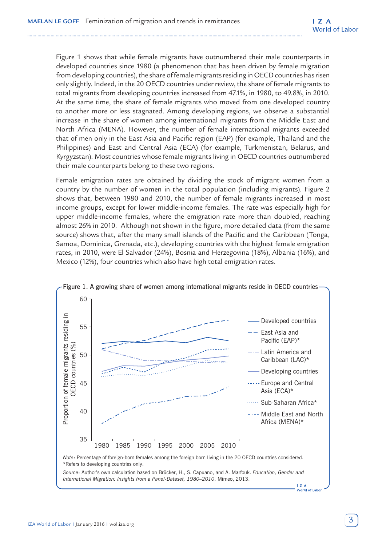Figure 1 shows that while female migrants have outnumbered their male counterparts in developed countries since 1980 (a phenomenon that has been driven by female migration from developing countries), the share of female migrants residing in OECD countries has risen only slightly. Indeed, in the 20 OECD countries under review, the share of female migrants to total migrants from developing countries increased from 47.1%, in 1980, to 49.8%, in 2010. At the same time, the share of female migrants who moved from one developed country to another more or less stagnated. Among developing regions, we observe a substantial increase in the share of women among international migrants from the Middle East and North Africa (MENA). However, the number of female international migrants exceeded that of men only in the East Asia and Pacific region (EAP) (for example, Thailand and the Philippines) and East and Central Asia (ECA) (for example, Turkmenistan, Belarus, and Kyrgyzstan). Most countries whose female migrants living in OECD countries outnumbered their male counterparts belong to these two regions.

Female emigration rates are obtained by dividing the stock of migrant women from a country by the number of women in the total population (including migrants). Figure 2 shows that, between 1980 and 2010, the number of female migrants increased in most income groups, except for lower middle-income females. The rate was especially high for upper middle-income females, where the emigration rate more than doubled, reaching almost 26% in 2010. Although not shown in the figure, more detailed data (from the same source) shows that, after the many small islands of the Pacific and the Caribbean (Tonga, Samoa, Dominica, Grenada, etc.), developing countries with the highest female emigration rates, in 2010, were El Salvador (24%), Bosnia and Herzegovina (18%), Albania (16%), and Mexico (12%), four countries which also have high total emigration rates.



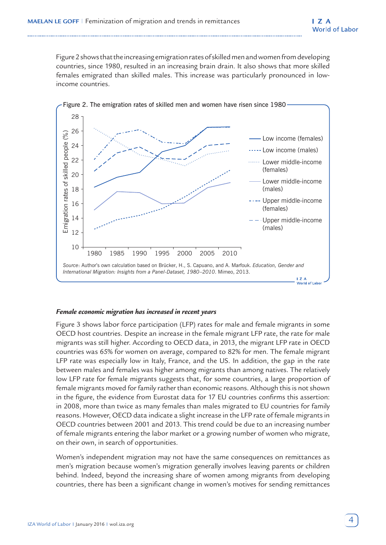Figure 2 shows that the increasing emigration rates of skilled men and women from developing countries, since 1980, resulted in an increasing brain drain. It also shows that more skilled females emigrated than skilled males. This increase was particularly pronounced in lowincome countries.



#### *Female economic migration has increased in recent years*

Figure 3 shows labor force participation (LFP) rates for male and female migrants in some OECD host countries. Despite an increase in the female migrant LFP rate, the rate for male migrants was still higher. According to OECD data, in 2013, the migrant LFP rate in OECD countries was 65% for women on average, compared to 82% for men. The female migrant LFP rate was especially low in Italy, France, and the US. In addition, the gap in the rate between males and females was higher among migrants than among natives. The relatively low LFP rate for female migrants suggests that, for some countries, a large proportion of female migrants moved for family rather than economic reasons. Although this is not shown in the figure, the evidence from Eurostat data for 17 EU countries confirms this assertion: in 2008, more than twice as many females than males migrated to EU countries for family reasons. However, OECD data indicate a slight increase in the LFP rate of female migrants in OECD countries between 2001 and 2013. This trend could be due to an increasing number of female migrants entering the labor market or a growing number of women who migrate, on their own, in search of opportunities.

Women's independent migration may not have the same consequences on remittances as men's migration because women's migration generally involves leaving parents or children behind. Indeed, beyond the increasing share of women among migrants from developing countries, there has been a significant change in women's motives for sending remittances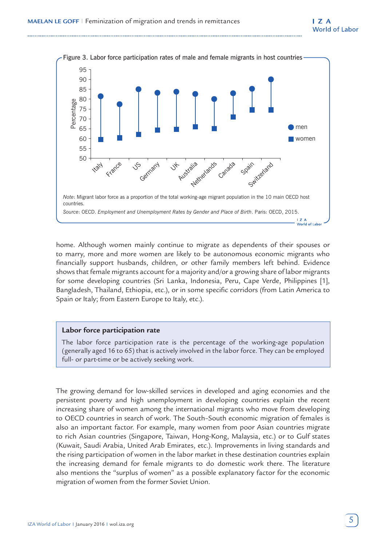

home. Although women mainly continue to migrate as dependents of their spouses or to marry, more and more women are likely to be autonomous economic migrants who financially support husbands, children, or other family members left behind. Evidence shows that female migrants account for a majority and/or a growing share of labor migrants for some developing countries (Sri Lanka, Indonesia, Peru, Cape Verde, Philippines [1], Bangladesh, Thailand, Ethiopia, etc.), or in some specific corridors (from Latin America to Spain or Italy; from Eastern Europe to Italy, etc.).

#### **Labor force participation rate**

The labor force participation rate is the percentage of the working-age population (generally aged 16 to 65) that is actively involved in the labor force. They can be employed full- or part-time or be actively seeking work.

The growing demand for low-skilled services in developed and aging economies and the persistent poverty and high unemployment in developing countries explain the recent increasing share of women among the international migrants who move from developing to OECD countries in search of work. The South–South economic migration of females is also an important factor. For example, many women from poor Asian countries migrate to rich Asian countries (Singapore, Taiwan, Hong-Kong, Malaysia, etc.) or to Gulf states (Kuwait, Saudi Arabia, United Arab Emirates, etc.). Improvements in living standards and the rising participation of women in the labor market in these destination countries explain the increasing demand for female migrants to do domestic work there. The literature also mentions the "surplus of women" as a possible explanatory factor for the economic migration of women from the former Soviet Union.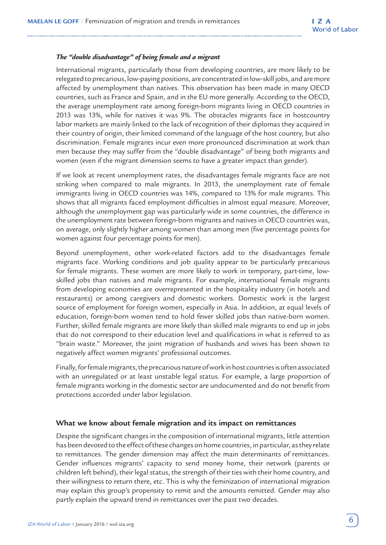#### *The "double disadvantage" of being female and a migrant*

International migrants, particularly those from developing countries, are more likely to be relegated to precarious, low-paying positions, are concentrated in low-skill jobs, and are more affected by unemployment than natives. This observation has been made in many OECD countries, such as France and Spain, and in the EU more generally. According to the OECD, the average unemployment rate among foreign-born migrants living in OECD countries in 2013 was 13%, while for natives it was 9%. The obstacles migrants face in hostcountry labor markets are mainly linked to the lack of recognition of their diplomas they acquired in their country of origin, their limited command of the language of the host country, but also discrimination. Female migrants incur even more pronounced discrimination at work than men because they may suffer from the "double disadvantage" of being both migrants and women (even if the migrant dimension seems to have a greater impact than gender).

If we look at recent unemployment rates, the disadvantages female migrants face are not striking when compared to male migrants. In 2013, the unemployment rate of female immigrants living in OECD countries was 14%, compared to 13% for male migrants. This shows that all migrants faced employment difficulties in almost equal measure. Moreover, although the unemployment gap was particularly wide in some countries, the difference in the unemployment rate between foreign-born migrants and natives in OECD countries was, on average, only slightly higher among women than among men (five percentage points for women against four percentage points for men).

Beyond unemployment, other work-related factors add to the disadvantages female migrants face. Working conditions and job quality appear to be particularly precarious for female migrants. These women are more likely to work in temporary, part-time, lowskilled jobs than natives and male migrants. For example, international female migrants from developing economies are overrepresented in the hospitality industry (in hotels and restaurants) or among caregivers and domestic workers. Domestic work is the largest source of employment for foreign women, especially in Asia. In addition, at equal levels of education, foreign-born women tend to hold fewer skilled jobs than native-born women. Further, skilled female migrants are more likely than skilled male migrants to end up in jobs that do not correspond to their education level and qualifications in what is referred to as "brain waste." Moreover, the joint migration of husbands and wives has been shown to negatively affect women migrants' professional outcomes.

Finally, for female migrants, the precarious nature of work in host countries is often associated with an unregulated or at least unstable legal status. For example, a large proportion of female migrants working in the domestic sector are undocumented and do not benefit from protections accorded under labor legislation.

#### **What we know about female migration and its impact on remittances**

Despite the significant changes in the composition of international migrants, little attention has been devoted to the effect of these changes on home countries, in particular, as they relate to remittances. The gender dimension may affect the main determinants of remittances. Gender influences migrants' capacity to send money home, their network (parents or children left behind), their legal status, the strength of their ties with their home country, and their willingness to return there, etc. This is why the feminization of international migration may explain this group's propensity to remit and the amounts remitted. Gender may also partly explain the upward trend in remittances over the past two decades.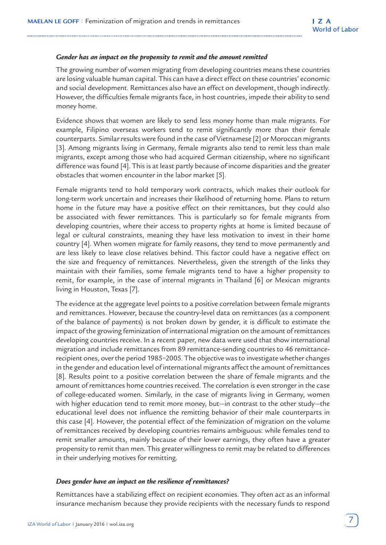#### *Gender has an impact on the propensity to remit and the amount remitted*

The growing number of women migrating from developing countries means these countries are losing valuable human capital. This can have a direct effect on these countries' economic and social development. Remittances also have an effect on development, though indirectly. However, the difficulties female migrants face, in host countries, impede their ability to send money home.

Evidence shows that women are likely to send less money home than male migrants. For example, Filipino overseas workers tend to remit significantly more than their female counterparts. Similar results were found in the case of Vietnamese [2] or Moroccan migrants [3]. Among migrants living in Germany, female migrants also tend to remit less than male migrants, except among those who had acquired German citizenship, where no significant difference was found [4]. This is at least partly because of income disparities and the greater obstacles that women encounter in the labor market [5].

Female migrants tend to hold temporary work contracts, which makes their outlook for long-term work uncertain and increases their likelihood of returning home. Plans to return home in the future may have a positive effect on their remittances, but they could also be associated with fewer remittances. This is particularly so for female migrants from developing countries, where their access to property rights at home is limited because of legal or cultural constraints, meaning they have less motivation to invest in their home country [4]. When women migrate for family reasons, they tend to move permanently and are less likely to leave close relatives behind. This factor could have a negative effect on the size and frequency of remittances. Nevertheless, given the strength of the links they maintain with their families, some female migrants tend to have a higher propensity to remit, for example, in the case of internal migrants in Thailand [6] or Mexican migrants living in Houston, Texas [7].

The evidence at the aggregate level points to a positive correlation between female migrants and remittances. However, because the country-level data on remittances (as a component of the balance of payments) is not broken down by gender, it is difficult to estimate the impact of the growing feminization of international migration on the amount of remittances developing countries receive. In a recent paper, new data were used that show international migration and include remittances from 89 remittance-sending countries to 46 remittancerecipient ones, over the period 1985−2005. The objective was to investigate whether changes in the gender and education level of international migrants affect the amount of remittances [8]. Results point to a positive correlation between the share of female migrants and the amount of remittances home countries received. The correlation is even stronger in the case of college-educated women. Similarly, in the case of migrants living in Germany, women with higher education tend to remit more money, but—in contrast to the other study—the educational level does not influence the remitting behavior of their male counterparts in this case [4]. However, the potential effect of the feminization of migration on the volume of remittances received by developing countries remains ambiguous: while females tend to remit smaller amounts, mainly because of their lower earnings, they often have a greater propensity to remit than men. This greater willingness to remit may be related to differences in their underlying motives for remitting.

#### *Does gender have an impact on the resilience of remittances?*

Remittances have a stabilizing effect on recipient economies. They often act as an informal insurance mechanism because they provide recipients with the necessary funds to respond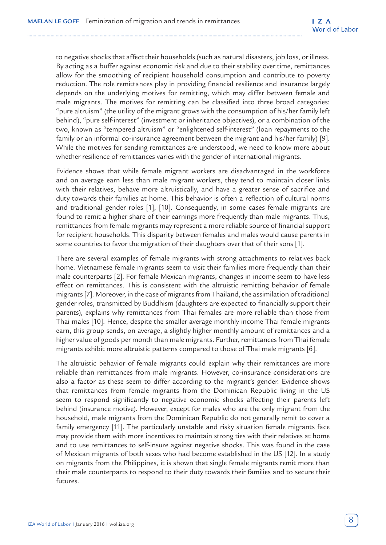to negative shocks that affect their households (such as natural disasters, job loss, or illness. By acting as a buffer against economic risk and due to their stability over time, remittances allow for the smoothing of recipient household consumption and contribute to poverty reduction. The role remittances play in providing financial resilience and insurance largely depends on the underlying motives for remitting, which may differ between female and male migrants. The motives for remitting can be classified into three broad categories: "pure altruism" (the utility of the migrant grows with the consumption of his/her family left behind), "pure self-interest" (investment or inheritance objectives), or a combination of the two, known as "tempered altruism" or "enlightened self-interest" (loan repayments to the family or an informal co-insurance agreement between the migrant and his/her family) [9]. While the motives for sending remittances are understood, we need to know more about whether resilience of remittances varies with the gender of international migrants.

Evidence shows that while female migrant workers are disadvantaged in the workforce and on average earn less than male migrant workers, they tend to maintain closer links with their relatives, behave more altruistically, and have a greater sense of sacrifice and duty towards their families at home. This behavior is often a reflection of cultural norms and traditional gender roles [1], [10]. Consequently, in some cases female migrants are found to remit a higher share of their earnings more frequently than male migrants. Thus, remittances from female migrants may represent a more reliable source of financial support for recipient households. This disparity between females and males would cause parents in some countries to favor the migration of their daughters over that of their sons [1].

There are several examples of female migrants with strong attachments to relatives back home. Vietnamese female migrants seem to visit their families more frequently than their male counterparts [2]. For female Mexican migrants, changes in income seem to have less effect on remittances. This is consistent with the altruistic remitting behavior of female migrants [7]. Moreover, in the case of migrants from Thailand, the assimilation of traditional gender roles, transmitted by Buddhism (daughters are expected to financially support their parents), explains why remittances from Thai females are more reliable than those from Thai males [10]. Hence, despite the smaller average monthly income Thai female migrants earn, this group sends, on average, a slightly higher monthly amount of remittances and a higher value of goods per month than male migrants. Further, remittances from Thai female migrants exhibit more altruistic patterns compared to those of Thai male migrants [6].

The altruistic behavior of female migrants could explain why their remittances are more reliable than remittances from male migrants. However, co-insurance considerations are also a factor as these seem to differ according to the migrant's gender. Evidence shows that remittances from female migrants from the Dominican Republic living in the US seem to respond significantly to negative economic shocks affecting their parents left behind (insurance motive). However, except for males who are the only migrant from the household, male migrants from the Dominican Republic do not generally remit to cover a family emergency [11]. The particularly unstable and risky situation female migrants face may provide them with more incentives to maintain strong ties with their relatives at home and to use remittances to self-insure against negative shocks. This was found in the case of Mexican migrants of both sexes who had become established in the US [12]. In a study on migrants from the Philippines, it is shown that single female migrants remit more than their male counterparts to respond to their duty towards their families and to secure their futures.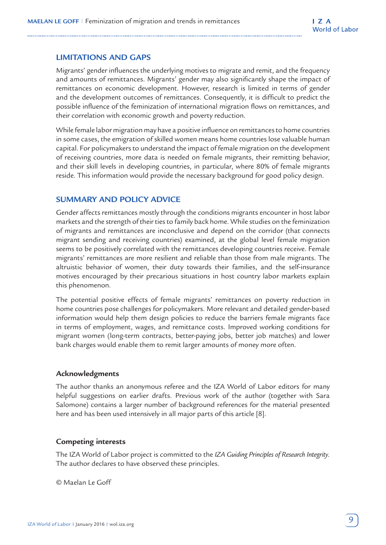## **LIMITATIONS AND GAPS**

Migrants' gender influences the underlying motives to migrate and remit, and the frequency and amounts of remittances. Migrants' gender may also significantly shape the impact of remittances on economic development. However, research is limited in terms of gender and the development outcomes of remittances. Consequently, it is difficult to predict the possible influence of the feminization of international migration flows on remittances, and their correlation with economic growth and poverty reduction.

While female labor migration may have a positive influence on remittances to home countries in some cases, the emigration of skilled women means home countries lose valuable human capital. For policymakers to understand the impact of female migration on the development of receiving countries, more data is needed on female migrants, their remitting behavior, and their skill levels in developing countries, in particular, where 80% of female migrants reside. This information would provide the necessary background for good policy design.

## **SUMMARY AND POLICY ADVICE**

Gender affects remittances mostly through the conditions migrants encounter in host labor markets and the strength of their ties to family back home. While studies on the feminization of migrants and remittances are inconclusive and depend on the corridor (that connects migrant sending and receiving countries) examined, at the global level female migration seems to be positively correlated with the remittances developing countries receive. Female migrants' remittances are more resilient and reliable than those from male migrants. The altruistic behavior of women, their duty towards their families, and the self-insurance motives encouraged by their precarious situations in host country labor markets explain this phenomenon.

The potential positive effects of female migrants' remittances on poverty reduction in home countries pose challenges for policymakers. More relevant and detailed gender-based information would help them design policies to reduce the barriers female migrants face in terms of employment, wages, and remittance costs. Improved working conditions for migrant women (long-term contracts, better-paying jobs, better job matches) and lower bank charges would enable them to remit larger amounts of money more often.

#### **Acknowledgments**

The author thanks an anonymous referee and the IZA World of Labor editors for many helpful suggestions on earlier drafts. Previous work of the author (together with Sara Salomone) contains a larger number of background references for the material presented here and has been used intensively in all major parts of this article [8].

#### **Competing interests**

The IZA World of Labor project is committed to the *IZA Guiding Principles of Research Integrity*. The author declares to have observed these principles.

© Maelan Le Goff